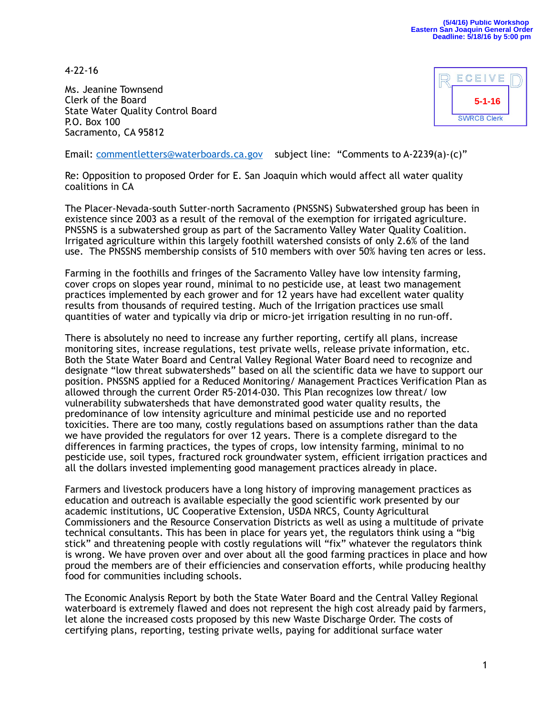4-22-16

Ms. Jeanine Townsend Clerk of the Board State Water Quality Control Board P.O. Box 100 Sacramento, CA 95812



Email: [commentletters@waterboards.ca.gov](mailto:commentletters@waterboards.ca.gov) subject line: "Comments to A-2239(a)-(c)"

Re: Opposition to proposed Order for E. San Joaquin which would affect all water quality coalitions in CA

The Placer-Nevada-south Sutter-north Sacramento (PNSSNS) Subwatershed group has been in existence since 2003 as a result of the removal of the exemption for irrigated agriculture. PNSSNS is a subwatershed group as part of the Sacramento Valley Water Quality Coalition. Irrigated agriculture within this largely foothill watershed consists of only 2.6% of the land use. The PNSSNS membership consists of 510 members with over 50% having ten acres or less.

Farming in the foothills and fringes of the Sacramento Valley have low intensity farming, cover crops on slopes year round, minimal to no pesticide use, at least two management practices implemented by each grower and for 12 years have had excellent water quality results from thousands of required testing. Much of the Irrigation practices use small quantities of water and typically via drip or micro-jet irrigation resulting in no run-off.

There is absolutely no need to increase any further reporting, certify all plans, increase monitoring sites, increase regulations, test private wells, release private information, etc. Both the State Water Board and Central Valley Regional Water Board need to recognize and designate "low threat subwatersheds" based on all the scientific data we have to support our position. PNSSNS applied for a Reduced Monitoring/ Management Practices Verification Plan as allowed through the current Order R5-2014-030. This Plan recognizes low threat/ low vulnerability subwatersheds that have demonstrated good water quality results, the predominance of low intensity agriculture and minimal pesticide use and no reported toxicities. There are too many, costly regulations based on assumptions rather than the data we have provided the regulators for over 12 years. There is a complete disregard to the differences in farming practices, the types of crops, low intensity farming, minimal to no pesticide use, soil types, fractured rock groundwater system, efficient irrigation practices and all the dollars invested implementing good management practices already in place.

Farmers and livestock producers have a long history of improving management practices as education and outreach is available especially the good scientific work presented by our academic institutions, UC Cooperative Extension, USDA NRCS, County Agricultural Commissioners and the Resource Conservation Districts as well as using a multitude of private technical consultants. This has been in place for years yet, the regulators think using a "big stick" and threatening people with costly regulations will "fix" whatever the regulators think is wrong. We have proven over and over about all the good farming practices in place and how proud the members are of their efficiencies and conservation efforts, while producing healthy food for communities including schools.

The Economic Analysis Report by both the State Water Board and the Central Valley Regional waterboard is extremely flawed and does not represent the high cost already paid by farmers, let alone the increased costs proposed by this new Waste Discharge Order. The costs of certifying plans, reporting, testing private wells, paying for additional surface water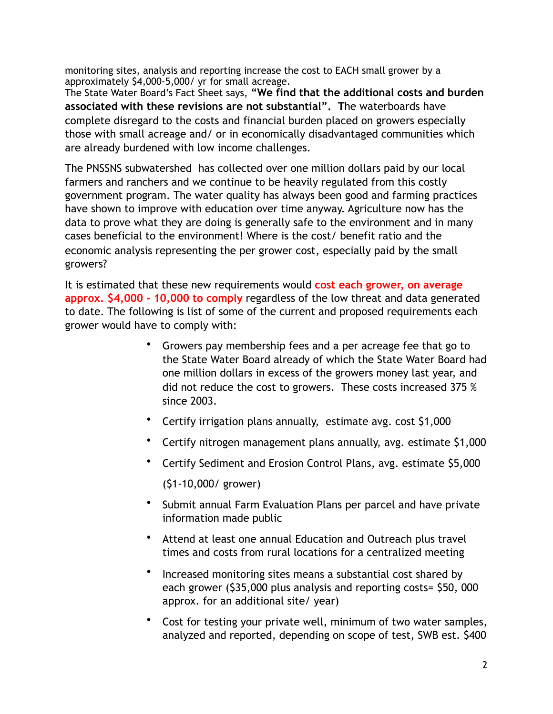monitoring sites, analysis and reporting increase the cost to EACH small grower by a approximately \$4,000-5,000/ yr for small acreage.

The State Water Board's Fact Sheet says, **"We find that the additional costs and burden associated with these revisions are not substantial". T**he waterboards have complete disregard to the costs and financial burden placed on growers especially those with small acreage and/ or in economically disadvantaged communities which are already burdened with low income challenges.

The PNSSNS subwatershed has collected over one million dollars paid by our local farmers and ranchers and we continue to be heavily regulated from this costly government program. The water quality has always been good and farming practices have shown to improve with education over time anyway. Agriculture now has the data to prove what they are doing is generally safe to the environment and in many cases beneficial to the environment! Where is the cost/ benefit ratio and the economic analysis representing the per grower cost, especially paid by the small growers?

It is estimated that these new requirements would **cost each grower, on average approx. \$4,000 - 10,000 to comply** regardless of the low threat and data generated to date. The following is list of some of the current and proposed requirements each grower would have to comply with:

- Growers pay membership fees and a per acreage fee that go to the State Water Board already of which the State Water Board had one million dollars in excess of the growers money last year, and did not reduce the cost to growers. These costs increased 375 % since 2003.
- Certify irrigation plans annually, estimate avg. cost \$1,000
- Certify nitrogen management plans annually, avg. estimate \$1,000
- Certify Sediment and Erosion Control Plans, avg. estimate \$5,000 (\$1-10,000/ grower)
- Submit annual Farm Evaluation Plans per parcel and have private information made public
- Attend at least one annual Education and Outreach plus travel times and costs from rural locations for a centralized meeting
- Increased monitoring sites means a substantial cost shared by each grower (\$35,000 plus analysis and reporting costs= \$50, 000 approx. for an additional site/ year)
- Cost for testing your private well, minimum of two water samples, analyzed and reported, depending on scope of test, SWB est. \$400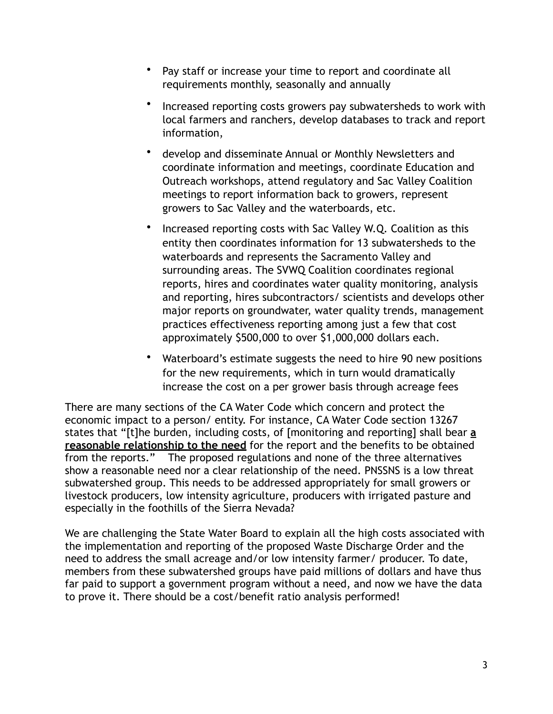- Pay staff or increase your time to report and coordinate all requirements monthly, seasonally and annually
- Increased reporting costs growers pay subwatersheds to work with local farmers and ranchers, develop databases to track and report information,
- develop and disseminate Annual or Monthly Newsletters and coordinate information and meetings, coordinate Education and Outreach workshops, attend regulatory and Sac Valley Coalition meetings to report information back to growers, represent growers to Sac Valley and the waterboards, etc.
- Increased reporting costs with Sac Valley W.Q. Coalition as this entity then coordinates information for 13 subwatersheds to the waterboards and represents the Sacramento Valley and surrounding areas. The SVWQ Coalition coordinates regional reports, hires and coordinates water quality monitoring, analysis and reporting, hires subcontractors/ scientists and develops other major reports on groundwater, water quality trends, management practices effectiveness reporting among just a few that cost approximately \$500,000 to over \$1,000,000 dollars each.
- Waterboard's estimate suggests the need to hire 90 new positions for the new requirements, which in turn would dramatically increase the cost on a per grower basis through acreage fees

There are many sections of the CA Water Code which concern and protect the economic impact to a person/ entity. For instance, CA Water Code section 13267 states that "[t]he burden, including costs, of [monitoring and reporting] shall bear **a reasonable relationship to the need** for the report and the benefits to be obtained from the reports." The proposed regulations and none of the three alternatives show a reasonable need nor a clear relationship of the need. PNSSNS is a low threat subwatershed group. This needs to be addressed appropriately for small growers or livestock producers, low intensity agriculture, producers with irrigated pasture and especially in the foothills of the Sierra Nevada?

We are challenging the State Water Board to explain all the high costs associated with the implementation and reporting of the proposed Waste Discharge Order and the need to address the small acreage and/or low intensity farmer/ producer. To date, members from these subwatershed groups have paid millions of dollars and have thus far paid to support a government program without a need, and now we have the data to prove it. There should be a cost/benefit ratio analysis performed!